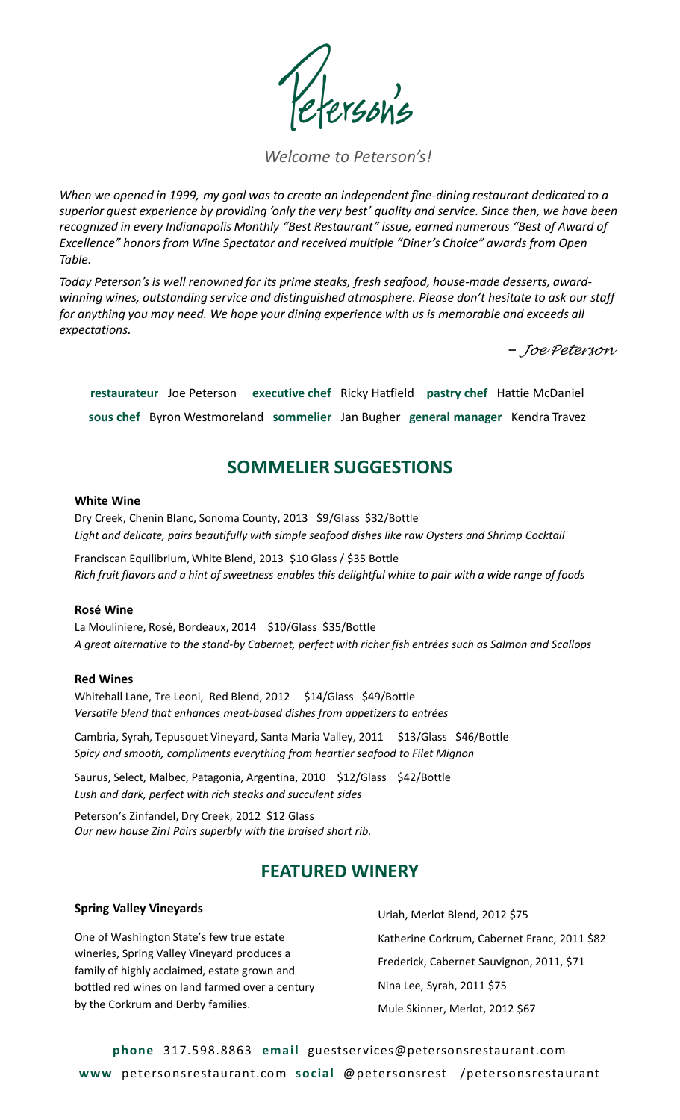## *Welcome to Peterson's!*

*When we opened in 1999, my goal was to create an independent fine-dining restaurant dedicated to a superior guest experience by providing 'only the very best' quality and service. Since then, we have been recognized in every Indianapolis Monthly "Best Restaurant" issue, earned numerous "Best of Award of Excellence" honors from Wine Spectator and received multiple "Diner's Choice" awards from Open Table.*

*Today Peterson's is well renowned for its prime steaks, fresh seafood, house-made desserts, awardwinning wines, outstanding service and distinguished atmosphere. Please don't hesitate to ask our staff for anything you may need. We hope your dining experience with us is memorable and exceeds all expectations.* 

̶ *Joe Peterson*

**restaurateur** Joe Peterson **executive chef** Ricky Hatfield **pastry chef** Hattie McDaniel **sous chef** Byron Westmoreland **sommelier** Jan Bugher **general manager** Kendra Travez

# **SOMMELIER SUGGESTIONS**

#### **White Wine**

Dry Creek, Chenin Blanc, Sonoma County, 2013 \$9/Glass \$32/Bottle *Light and delicate, pairs beautifully with simple seafood dishes like raw Oysters and Shrimp Cocktail*

Franciscan Equilibrium, White Blend, 2013 \$10 Glass / \$35 Bottle *Rich fruit flavors and a hint of sweetness enables this delightful white to pair with a wide range of foods*

### **Rosé Wine**

La Mouliniere, Rosé, Bordeaux, 2014 \$10/Glass \$35/Bottle *A great alternative to the stand-by Cabernet, perfect with richer fish entrées such as Salmon and Scallops*

#### **Red Wines**

Whitehall Lane, Tre Leoni, Red Blend, 2012 \$14/Glass \$49/Bottle *Versatile blend that enhances meat-based dishes from appetizers to entrées*

Cambria, Syrah, Tepusquet Vineyard, Santa Maria Valley, 2011 \$13/Glass \$46/Bottle *Spicy and smooth, compliments everything from heartier seafood to Filet Mignon*

Saurus, Select, Malbec, Patagonia, Argentina, 2010 \$12/Glass \$42/Bottle *Lush and dark, perfect with rich steaks and succulent sides*

Peterson's Zinfandel, Dry Creek, 2012 \$12 Glass *Our new house Zin! Pairs superbly with the braised short rib.*

# **FEATURED WINERY**

#### **Spring Valley Vineyards**

One of Washington State's few true estate wineries, Spring Valley Vineyard produces a family of highly acclaimed, estate grown and bottled red wines on land farmed over a century by the Corkrum and Derby families.

Uriah, Merlot Blend, 2012 \$75 Katherine Corkrum, Cabernet Franc, 2011 \$82 Frederick, Cabernet Sauvignon, 2011, \$71 Nina Lee, Syrah, 2011 \$75 Mule Skinner, Merlot, 2012 \$67

**phone** 317.598.8863 **email** guestservices@petersonsrestaurant.com **www** petersonsrestaurant.com **social** @petersonsrest /petersonsrestaurant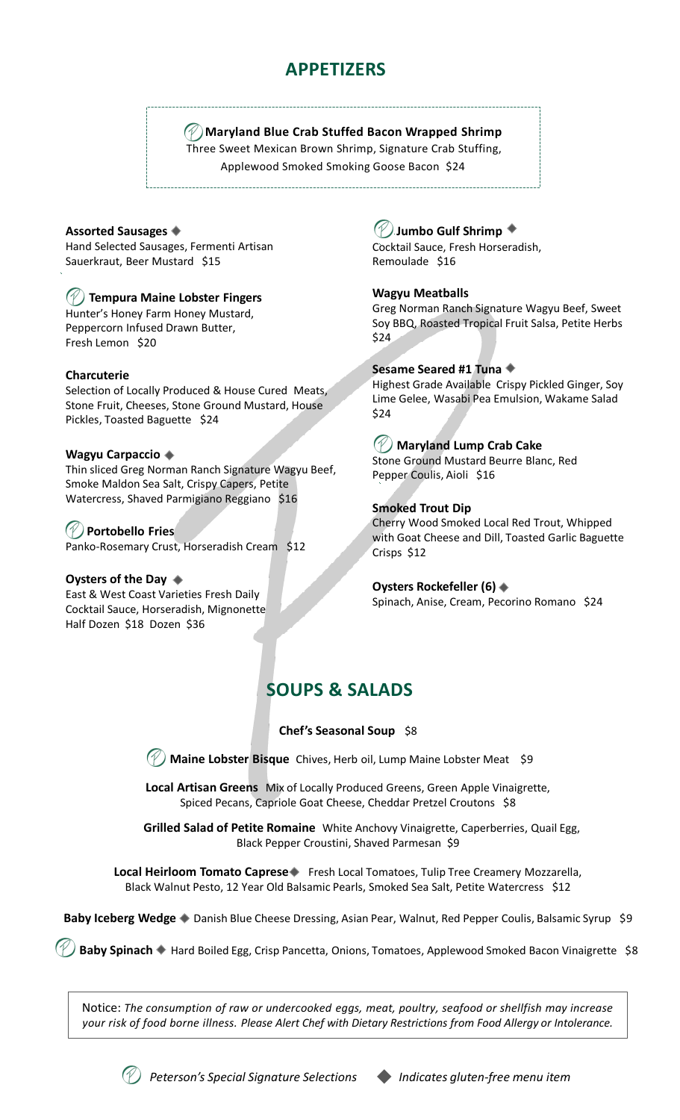# **APPETIZERS**

## **Maryland Blue Crab Stuffed Bacon Wrapped Shrimp**

Three Sweet Mexican Brown Shrimp, Signature Crab Stuffing, Applewood Smoked Smoking Goose Bacon \$24

#### **Assorted Sausages**

Hand Selected Sausages, Fermenti Artisan Sauerkraut, Beer Mustard \$15

## **Tempura Maine Lobster Fingers**

Hunter's Honey Farm Honey Mustard, Peppercorn Infused Drawn Butter, Fresh Lemon \$20

#### **Charcuterie**

Selection of Locally Produced & House Cured Meats, Stone Fruit, Cheeses, Stone Ground Mustard, House Pickles, Toasted Baguette \$24

#### **Wagyu Carpaccio**

Thin sliced Greg Norman Ranch Signature Wagyu Beef, Smoke Maldon Sea Salt, Crispy Capers, Petite Watercress, Shaved Parmigiano Reggiano \$16

### **Portobello Fries** Panko-Rosemary Crust, Horseradish Cream \$12

**Oysters of the Day** 

East & West Coast Varieties Fresh Daily Cocktail Sauce, Horseradish, Mignonette Half Dozen \$18 Dozen \$36

# **Jumbo Gulf Shrimp**

Cocktail Sauce, Fresh Horseradish, Remoulade \$16

### **Wagyu Meatballs**

Greg Norman Ranch Signature Wagyu Beef, Sweet Soy BBQ, Roasted Tropical Fruit Salsa, Petite Herbs \$24

### **Sesame Seared #1 Tuna**

Highest Grade Available Crispy Pickled Ginger, Soy Lime Gelee, Wasabi Pea Emulsion, Wakame Salad \$24

## **Maryland Lump Crab Cake**

Stone Ground Mustard Beurre Blanc, Red Pepper Coulis, Aioli \$16

#### **Smoked Trout Dip**

Cherry Wood Smoked Local Red Trout, Whipped with Goat Cheese and Dill, Toasted Garlic Baguette Crisps \$12

**Oysters Rockefeller (6)** Spinach, Anise, Cream, Pecorino Romano \$24

# **SOUPS & SALADS**

### **Chef's Seasonal Soup** \$8

**Maine Lobster Bisque** Chives, Herb oil, Lump Maine Lobster Meat \$9

**Local Artisan Greens** Mix of Locally Produced Greens, Green Apple Vinaigrette, Spiced Pecans, Capriole Goat Cheese, Cheddar Pretzel Croutons \$8

**Grilled Salad of Petite Romaine** White Anchovy Vinaigrette, Caperberries, Quail Egg, Black Pepper Croustini, Shaved Parmesan \$9

**Local Heirloom Tomato Caprese** Fresh Local Tomatoes, Tulip Tree Creamery Mozzarella, Black Walnut Pesto, 12 Year Old Balsamic Pearls, Smoked Sea Salt, Petite Watercress \$12

Baby Iceberg Wedge  $\triangleq$  Danish Blue Cheese Dressing, Asian Pear, Walnut, Red Pepper Coulis, Balsamic Syrup \$9

Baby Spinach • Hard Boiled Egg, Crisp Pancetta, Onions, Tomatoes, Applewood Smoked Bacon Vinaigrette \$8

Notice: *The consumption of raw or undercooked eggs, meat, poultry, seafood or shellfish may increase your risk of food borne illness. Please Alert Chef with Dietary Restrictions from Food Allergy or Intolerance.*



*Peterson's Special Signature Selections Indicates gluten-free menu item*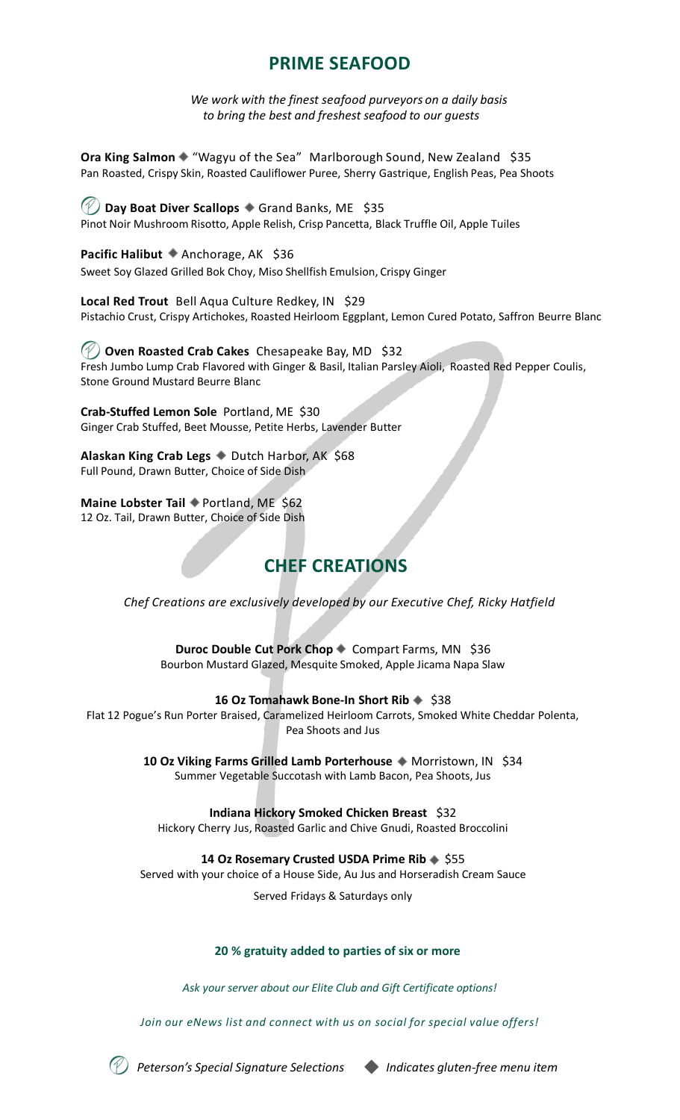# **PRIME SEAFOOD**

*We work with the finest seafood purveyors on a daily basis to bring the best and freshest seafood to our guests*

**Ora King Salmon ◆ "Wagyu of the Sea" Marlborough Sound, New Zealand \$35** Pan Roasted, Crispy Skin, Roasted Cauliflower Puree, Sherry Gastrique, English Peas, Pea Shoots

*①* **Day Boat Diver Scallops ◆ Grand Banks, ME \$35** Pinot Noir Mushroom Risotto, Apple Relish, Crisp Pancetta, Black Truffle Oil, Apple Tuiles

**Pacific Halibut Anchorage, AK \$36** Sweet Soy Glazed Grilled Bok Choy, Miso Shellfish Emulsion, Crispy Ginger

**Local Red Trout** Bell Aqua Culture Redkey, IN \$29 Pistachio Crust, Crispy Artichokes, Roasted Heirloom Eggplant, Lemon Cured Potato, Saffron Beurre Blanc

**Oven Roasted Crab Cakes** Chesapeake Bay, MD \$32 Fresh Jumbo Lump Crab Flavored with Ginger & Basil, Italian Parsley Aioli, Roasted Red Pepper Coulis, Stone Ground Mustard Beurre Blanc

**Crab-Stuffed Lemon Sole** Portland, ME \$30 Ginger Crab Stuffed, Beet Mousse, Petite Herbs, Lavender Butter

**Alaskan King Crab Legs**  $\bullet$  Dutch Harbor, AK \$68 Full Pound, Drawn Butter, Choice of Side Dish

**Maine Lobster Tail** ♦ Portland, ME \$62 12 Oz. Tail, Drawn Butter, Choice of Side Dish

# **CHEF CREATIONS**

*Chef Creations are exclusively developed by our Executive Chef, Ricky Hatfield*

**Duroc Double Cut Pork Chop Compart Farms, MN \$36** Bourbon Mustard Glazed, Mesquite Smoked, Apple Jicama Napa Slaw

### 16 Oz Tomahawk Bone-In Short Rib  $\triangleq$  \$38

Flat 12 Pogue's Run Porter Braised, Caramelized Heirloom Carrots, Smoked White Cheddar Polenta, Pea Shoots and Jus

> 10 Oz Viking Farms Grilled Lamb Porterhouse  $\triangleq$  Morristown, IN \$34 Summer Vegetable Succotash with Lamb Bacon, Pea Shoots, Jus

**Indiana Hickory Smoked Chicken Breast** \$32 Hickory Cherry Jus, Roasted Garlic and Chive Gnudi, Roasted Broccolini

14 Oz Rosemary Crusted USDA Prime Rib  $\div$  \$55

Served with your choice of a House Side, Au Jus and Horseradish Cream Sauce

Served Fridays & Saturdays only

### **20 % gratuity added to parties of six or more**

*Ask your server about our Elite Club and Gift Certificate options!*

*Join our eNews list and connect with us on social for special value offers!*



*Peterson's Special Signature Selections Indicates gluten-free menu item*